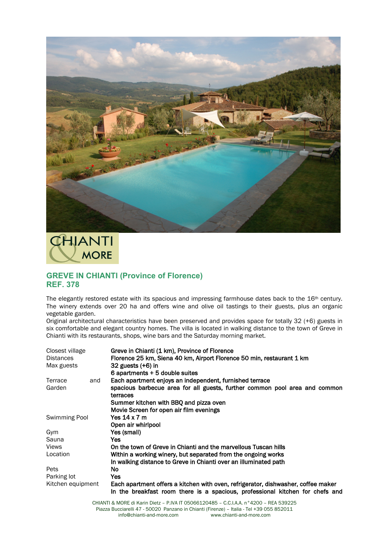

**CHIANTI MORE** 

## **GREVE IN CHIANTI (Province of Florence) REF. 378**

The elegantly restored estate with its spacious and impressing farmhouse dates back to the 16<sup>th</sup> century. The winery extends over 20 ha and offers wine and olive oil tastings to their guests, plus an organic vegetable garden.

Original architectural characteristics have been preserved and provides space for totally 32 (+6) guests in six comfortable and elegant country homes. The villa is located in walking distance to the town of Greve in Chianti with its restaurants, shops, wine bars and the Saturday morning market.

| Closest village   |     | Greve in Chianti (1 km), Province of Florence                                                                                                                      |
|-------------------|-----|--------------------------------------------------------------------------------------------------------------------------------------------------------------------|
| <b>Distances</b>  |     | Florence 25 km, Siena 40 km, Airport Florence 50 min, restaurant 1 km                                                                                              |
| Max guests        |     | 32 guests $(+6)$ in                                                                                                                                                |
|                   |     | 6 apartments + 5 double suites                                                                                                                                     |
| Terrace           | and | Each apartment enjoys an independent, furnished terrace                                                                                                            |
| Garden            |     | spacious barbecue area for all guests, further common pool area and common<br>terraces                                                                             |
|                   |     | Summer kitchen with BBQ and pizza oven                                                                                                                             |
|                   |     | Movie Screen for open air film evenings                                                                                                                            |
| Swimming Pool     |     | Yes 14 x 7 m                                                                                                                                                       |
|                   |     | Open air whirlpool                                                                                                                                                 |
| Gym               |     | Yes (small)                                                                                                                                                        |
| Sauna             |     | Yes.                                                                                                                                                               |
| Views             |     | On the town of Greve in Chianti and the marvellous Tuscan hills                                                                                                    |
| Location          |     | Within a working winery, but separated from the ongoing works                                                                                                      |
|                   |     | In walking distance to Greve in Chianti over an illuminated path                                                                                                   |
| Pets              |     | No.                                                                                                                                                                |
| Parking lot       |     | Yes.                                                                                                                                                               |
| Kitchen equipment |     | Each apartment offers a kitchen with oven, refrigerator, dishwasher, coffee maker<br>In the breakfast room there is a spacious, professional kitchen for chefs and |